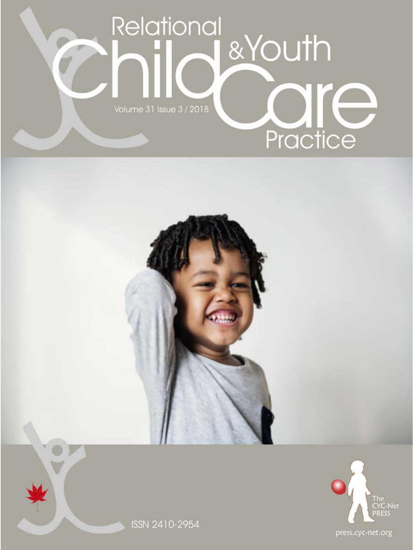



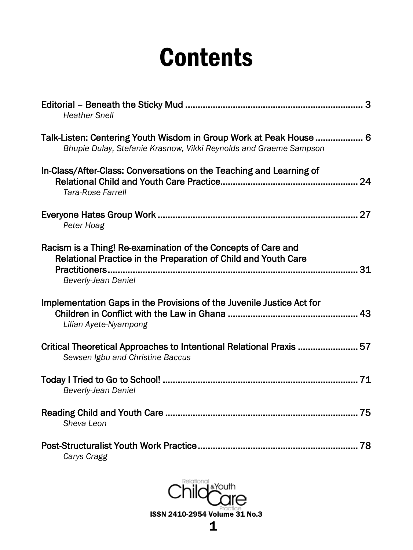# **Contents**

| <b>Heather Snell</b>                                                                                                                                   |
|--------------------------------------------------------------------------------------------------------------------------------------------------------|
| Talk-Listen: Centering Youth Wisdom in Group Work at Peak House  6<br>Bhupie Dulay, Stefanie Krasnow, Vikki Reynolds and Graeme Sampson                |
| In-Class/After-Class: Conversations on the Teaching and Learning of<br>Tara-Rose Farrell                                                               |
| Peter Hoag                                                                                                                                             |
| Racism is a Thing! Re-examination of the Concepts of Care and<br>Relational Practice in the Preparation of Child and Youth Care<br>Beverly-Jean Daniel |
| Implementation Gaps in the Provisions of the Juvenile Justice Act for<br>Lilian Ayete-Nyampong                                                         |
| Critical Theoretical Approaches to Intentional Relational Praxis  57<br>Sewsen Igbu and Christine Baccus                                               |
| Beverly-Jean Daniel                                                                                                                                    |
| Sheva Leon                                                                                                                                             |
| Carys Cragg                                                                                                                                            |

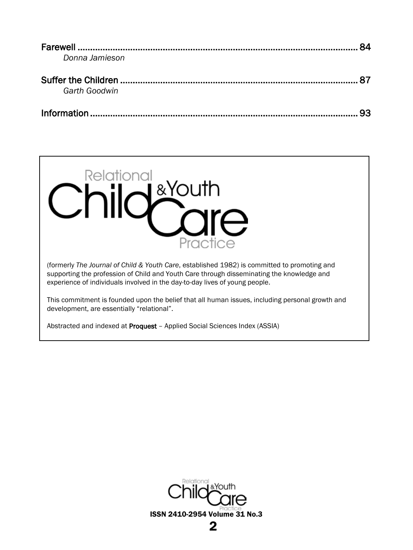|                | 84 |
|----------------|----|
| Donna Jamieson |    |
|                |    |
| Garth Goodwin  |    |
|                |    |



(formerly *The Journal of Child & Youth Care*, established 1982) is committed to promoting and supporting the profession of Child and Youth Care through disseminating the knowledge and experience of individuals involved in the day-to-day lives of young people.

This commitment is founded upon the belief that all human issues, including personal growth and development, are essentially "relational".

Abstracted and indexed at Proquest – [Applied Social Sciences Index \(ASSIA\)](http://www.proquest.com/products-services/ASSIA-Applied-Social-Sciences-Index-and-Abstracts.html)

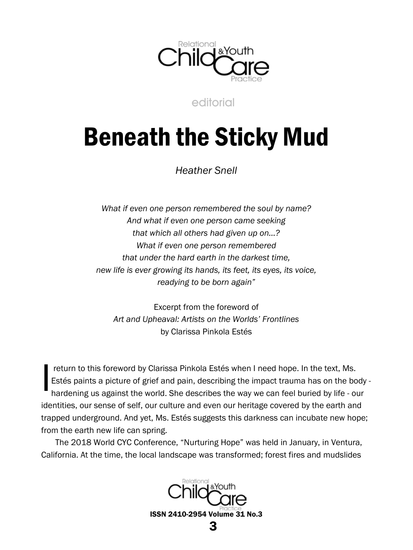

editorial

# <span id="page-3-1"></span><span id="page-3-0"></span>Beneath the Sticky Mud

*Heather Snell*

*What if even one person remembered the soul by name? And what if even one person came seeking that which all others had given up on…? What if even one person remembered that under the hard earth in the darkest time, new life is ever growing its hands, its feet, its eyes, its voice, readying to be born again"*

Excerpt from the foreword of *Art and Upheaval: Artists on the Worlds' Frontlines* by Clarissa Pinkola Estés

return to this foreword by Clarissa Pinkola Estés when I need hope. In the text, Ms. Estés paints a picture of grief and pain, describing the impact trauma has on the body hardening us against the world. She describes the way we can feel buried by life - our identities, our sense of self, our culture and even our heritage covered by the earth and trapped underground. And yet, Ms. Estés suggests this darkness can incubate new hope; from the earth new life can spring. I

The 2018 World CYC Conference, "Nurturing Hope" was held in January, in Ventura, California. At the time, the local landscape was transformed; forest fires and mudslides

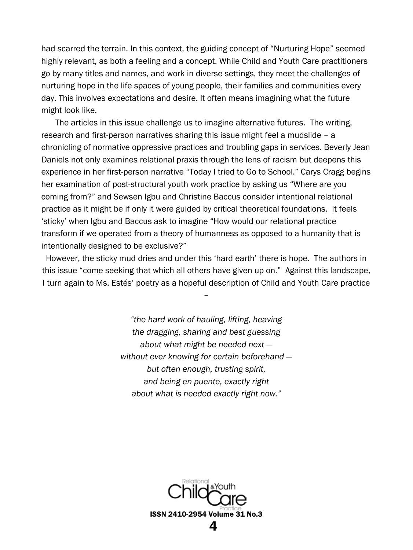had scarred the terrain. In this context, the guiding concept of "Nurturing Hope" seemed highly relevant, as both a feeling and a concept. While Child and Youth Care practitioners go by many titles and names, and work in diverse settings, they meet the challenges of nurturing hope in the life spaces of young people, their families and communities every day. This involves expectations and desire. It often means imagining what the future might look like.

The articles in this issue challenge us to imagine alternative futures. The writing, research and first-person narratives sharing this issue might feel a mudslide – a chronicling of normative oppressive practices and troubling gaps in services. Beverly Jean Daniels not only examines relational praxis through the lens of racism but deepens this experience in her first-person narrative "Today I tried to Go to School." Carys Cragg begins her examination of post-structural youth work practice by asking us "Where are you coming from?" and Sewsen Igbu and Christine Baccus consider intentional relational practice as it might be if only it were guided by critical theoretical foundations. It feels 'sticky' when Igbu and Baccus ask to imagine "How would our relational practice transform if we operated from a theory of humanness as opposed to a humanity that is intentionally designed to be exclusive?"

However, the sticky mud dries and under this 'hard earth' there is hope. The authors in this issue "come seeking that which all others have given up on." Against this landscape, I turn again to Ms. Estés' poetry as a hopeful description of Child and Youth Care practice

–

*"the hard work of hauling, lifting, heaving the dragging, sharing and best guessing about what might be needed next without ever knowing for certain beforehand but often enough, trusting spirit, and being en puente, exactly right about what is needed exactly right now."*

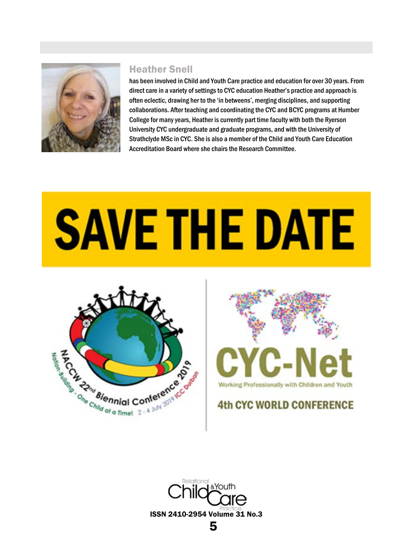

#### Heather Snell

has been involved in Child and Youth Care practice and education for over 30 years. From direct care in a variety of settings to CYC education Heather's practice and approach is often eclectic, drawing her to the 'in betweens', merging disciplines, and supporting collaborations. After teaching and coordinating the CYC and BCYC programs at Humber College for many years, Heather is currently part time faculty with both the Ryerson University CYC undergraduate and graduate programs, and with the University of Strathclyde MSc in CYC. She is also a member of the Child and Youth Care Education Accreditation Board where she chairs the Research Committee.

# **SAVE THE DATE**





# **4th CYC WORLD CONFERENCE**

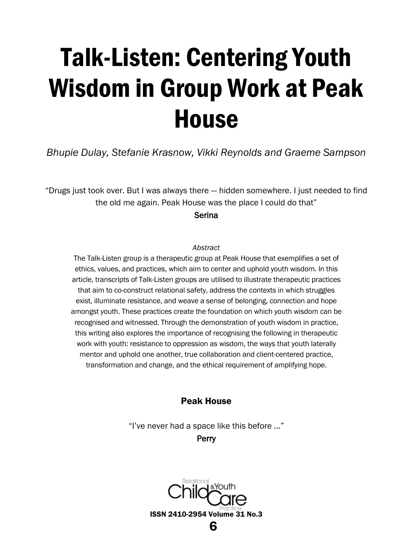# <span id="page-6-0"></span>Talk-Listen: Centering Youth Wisdom in Group Work at Peak House

<span id="page-6-1"></span>*Bhupie Dulay, Stefanie Krasnow, Vikki Reynolds and Graeme Sampson*

"Drugs just took over. But I was always there — hidden somewhere. I just needed to find the old me again. Peak House was the place I could do that"

Serina

#### *Abstract*

The Talk-Listen group is a therapeutic group at Peak House that exemplifies a set of ethics, values, and practices, which aim to center and uphold youth wisdom. In this article, transcripts of Talk-Listen groups are utilised to illustrate therapeutic practices that aim to co-construct relational safety, address the contexts in which struggles exist, illuminate resistance, and weave a sense of belonging, connection and hope amongst youth. These practices create the foundation on which youth wisdom can be recognised and witnessed. Through the demonstration of youth wisdom in practice, this writing also explores the importance of recognising the following in therapeutic work with youth: resistance to oppression as wisdom, the ways that youth laterally mentor and uphold one another, true collaboration and client-centered practice, transformation and change, and the ethical requirement of amplifying hope.

# Peak House

"I've never had a space like this before …"

**Perry** 

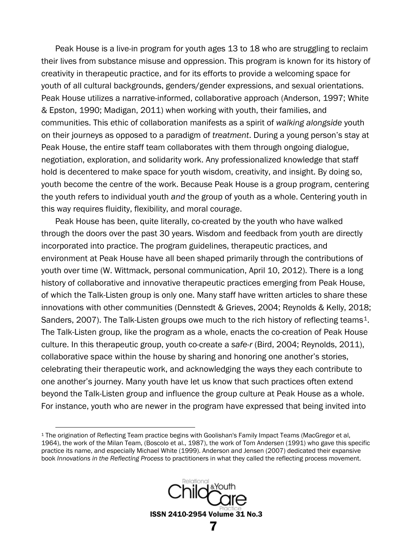Peak House is a live-in program for youth ages 13 to 18 who are struggling to reclaim their lives from substance misuse and oppression. This program is known for its history of creativity in therapeutic practice, and for its efforts to provide a welcoming space for youth of all cultural backgrounds, genders/gender expressions, and sexual orientations. Peak House utilizes a narrative-informed, collaborative approach (Anderson, 1997; White & Epston, 1990; Madigan, 2011) when working with youth, their families, and communities. This ethic of collaboration manifests as a spirit of *walking alongside* youth on their journeys as opposed to a paradigm of *treatment*. During a young person's stay at Peak House, the entire staff team collaborates with them through ongoing dialogue, negotiation, exploration, and solidarity work. Any professionalized knowledge that staff hold is decentered to make space for youth wisdom, creativity, and insight. By doing so, youth become the centre of the work. Because Peak House is a group program, centering the youth refers to individual youth *and* the group of youth as a whole. Centering youth in this way requires fluidity, flexibility, and moral courage.

Peak House has been, quite literally, co-created by the youth who have walked through the doors over the past 30 years. Wisdom and feedback from youth are directly incorporated into practice. The program guidelines, therapeutic practices, and environment at Peak House have all been shaped primarily through the contributions of youth over time (W. Wittmack, personal communication, April 10, 2012). There is a long history of collaborative and innovative therapeutic practices emerging from Peak House, of which the Talk-Listen group is only one. Many staff have written articles to share these innovations with other communities (Dennstedt & Grieves, 2004; Reynolds & Kelly, 2018; Sanders, 2007). The Talk-Listen groups owe much to the rich history of reflecting teams<sup>[1](#page-7-0)</sup>. The Talk-Listen group, like the program as a whole, enacts the co-creation of Peak House culture. In this therapeutic group, youth co-create a *safe-r* (Bird, 2004; Reynolds, 2011), collaborative space within the house by sharing and honoring one another's stories, celebrating their therapeutic work, and acknowledging the ways they each contribute to one another's journey. Many youth have let us know that such practices often extend beyond the Talk-Listen group and influence the group culture at Peak House as a whole. For instance, youth who are newer in the program have expressed that being invited into

<span id="page-7-0"></span> <sup>1</sup> The origination of Reflecting Team practice begins with Goolishan's Family Impact Teams (MacGregor et al, 1964), the work of the Milan Team, (Boscolo et al., 1987), the work of Tom Andersen (1991) who gave this specific practice its name, and especially Michael White (1999). Anderson and Jensen (2007) dedicated their expansive book *Innovations in the Reflecting Process* to practitioners in what they called the reflecting process movement.

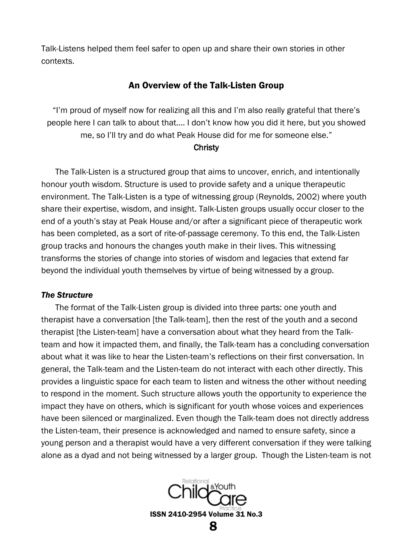Talk-Listens helped them feel safer to open up and share their own stories in other contexts.

#### An Overview of the Talk-Listen Group

"I'm proud of myself now for realizing all this and I'm also really grateful that there's people here I can talk to about that…. I don't know how you did it here, but you showed me, so I'll try and do what Peak House did for me for someone else."

#### **Christy**

The Talk-Listen is a structured group that aims to uncover, enrich, and intentionally honour youth wisdom. Structure is used to provide safety and a unique therapeutic environment. The Talk-Listen is a type of witnessing group (Reynolds, 2002) where youth share their expertise, wisdom, and insight. Talk-Listen groups usually occur closer to the end of a youth's stay at Peak House and/or after a significant piece of therapeutic work has been completed, as a sort of rite-of-passage ceremony. To this end, the Talk-Listen group tracks and honours the changes youth make in their lives. This witnessing transforms the stories of change into stories of wisdom and legacies that extend far beyond the individual youth themselves by virtue of being witnessed by a group.

#### *The Structure*

The format of the Talk-Listen group is divided into three parts: one youth and therapist have a conversation [the Talk-team], then the rest of the youth and a second therapist [the Listen-team] have a conversation about what they heard from the Talkteam and how it impacted them, and finally, the Talk-team has a concluding conversation about what it was like to hear the Listen-team's reflections on their first conversation. In general, the Talk-team and the Listen-team do not interact with each other directly. This provides a linguistic space for each team to listen and witness the other without needing to respond in the moment. Such structure allows youth the opportunity to experience the impact they have on others, which is significant for youth whose voices and experiences have been silenced or marginalized. Even though the Talk-team does not directly address the Listen-team, their presence is acknowledged and named to ensure safety, since a young person and a therapist would have a very different conversation if they were talking alone as a dyad and not being witnessed by a larger group. Though the Listen-team is not

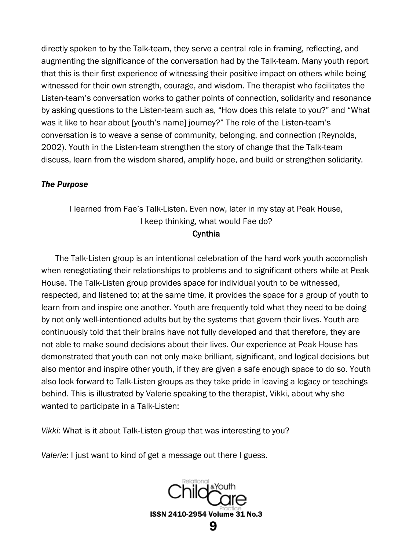directly spoken to by the Talk-team, they serve a central role in framing, reflecting, and augmenting the significance of the conversation had by the Talk-team. Many youth report that this is their first experience of witnessing their positive impact on others while being witnessed for their own strength, courage, and wisdom. The therapist who facilitates the Listen-team's conversation works to gather points of connection, solidarity and resonance by asking questions to the Listen-team such as, "How does this relate to you?" and "What was it like to hear about [youth's name] journey?" The role of the Listen-team's conversation is to weave a sense of community, belonging, and connection (Reynolds, 2002). Youth in the Listen-team strengthen the story of change that the Talk-team discuss, learn from the wisdom shared, amplify hope, and build or strengthen solidarity.

#### *The Purpose*

# I learned from Fae's Talk-Listen. Even now, later in my stay at Peak House, I keep thinking, what would Fae do? **Cynthia**

The Talk-Listen group is an intentional celebration of the hard work youth accomplish when renegotiating their relationships to problems and to significant others while at Peak House. The Talk-Listen group provides space for individual youth to be witnessed, respected, and listened to; at the same time, it provides the space for a group of youth to learn from and inspire one another. Youth are frequently told what they need to be doing by not only well-intentioned adults but by the systems that govern their lives. Youth are continuously told that their brains have not fully developed and that therefore, they are not able to make sound decisions about their lives. Our experience at Peak House has demonstrated that youth can not only make brilliant, significant, and logical decisions but also mentor and inspire other youth, if they are given a safe enough space to do so. Youth also look forward to Talk-Listen groups as they take pride in leaving a legacy or teachings behind. This is illustrated by Valerie speaking to the therapist, Vikki, about why she wanted to participate in a Talk-Listen:

*Vikki:* What is it about Talk-Listen group that was interesting to you?

*Valerie*: I just want to kind of get a message out there I guess.

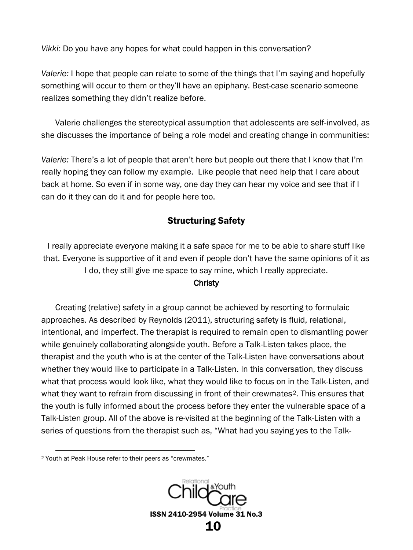*Vikki:* Do you have any hopes for what could happen in this conversation?

*Valerie:* I hope that people can relate to some of the things that I'm saying and hopefully something will occur to them or they'll have an epiphany. Best-case scenario someone realizes something they didn't realize before.

Valerie challenges the stereotypical assumption that adolescents are self-involved, as she discusses the importance of being a role model and creating change in communities:

*Valerie:* There's a lot of people that aren't here but people out there that I know that I'm really hoping they can follow my example. Like people that need help that I care about back at home. So even if in some way, one day they can hear my voice and see that if I can do it they can do it and for people here too.

# Structuring Safety

I really appreciate everyone making it a safe space for me to be able to share stuff like that. Everyone is supportive of it and even if people don't have the same opinions of it as I do, they still give me space to say mine, which I really appreciate.

## **Christy**

Creating (relative) safety in a group cannot be achieved by resorting to formulaic approaches. As described by Reynolds (2011), structuring safety is fluid, relational, intentional, and imperfect. The therapist is required to remain open to dismantling power while genuinely collaborating alongside youth. Before a Talk-Listen takes place, the therapist and the youth who is at the center of the Talk-Listen have conversations about whether they would like to participate in a Talk-Listen. In this conversation, they discuss what that process would look like, what they would like to focus on in the Talk-Listen, and what they want to refrain from discussing in front of their crewmates<sup>[2](#page-10-0)</sup>. This ensures that the youth is fully informed about the process before they enter the vulnerable space of a Talk-Listen group. All of the above is re-visited at the beginning of the Talk-Listen with a series of questions from the therapist such as, "What had you saying yes to the Talk-

<span id="page-10-0"></span> <sup>2</sup> Youth at Peak House refer to their peers as "crewmates."

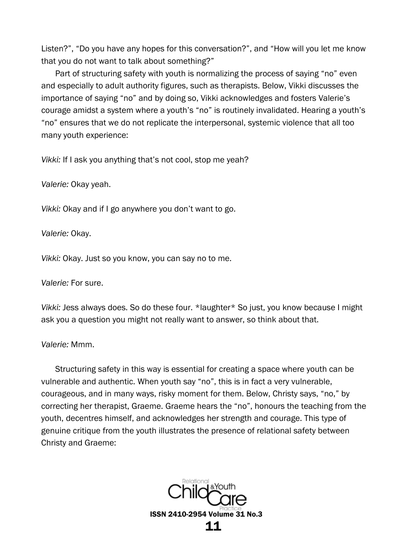Listen?", "Do you have any hopes for this conversation?", and "How will you let me know that you do not want to talk about something?"

Part of structuring safety with youth is normalizing the process of saying "no" even and especially to adult authority figures, such as therapists. Below, Vikki discusses the importance of saying "no" and by doing so, Vikki acknowledges and fosters Valerie's courage amidst a system where a youth's "no" is routinely invalidated. Hearing a youth's "no" ensures that we do not replicate the interpersonal, systemic violence that all too many youth experience:

*Vikki:* If I ask you anything that's not cool, stop me yeah?

*Valerie:* Okay yeah.

*Vikki:* Okay and if I go anywhere you don't want to go.

*Valerie:* Okay.

*Vikki:* Okay. Just so you know, you can say no to me.

*Valerie:* For sure.

*Vikki:* Jess always does. So do these four. \*laughter\* So just, you know because I might ask you a question you might not really want to answer, so think about that.

*Valerie:* Mmm.

Structuring safety in this way is essential for creating a space where youth can be vulnerable and authentic. When youth say "no", this is in fact a very vulnerable, courageous, and in many ways, risky moment for them. Below, Christy says, "no," by correcting her therapist, Graeme. Graeme hears the "no", honours the teaching from the youth, decentres himself, and acknowledges her strength and courage. This type of genuine critique from the youth illustrates the presence of relational safety between Christy and Graeme:

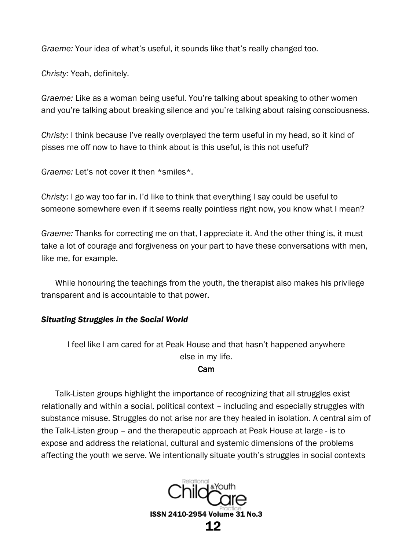*Graeme:* Your idea of what's useful, it sounds like that's really changed too.

*Christy:* Yeah, definitely.

*Graeme:* Like as a woman being useful. You're talking about speaking to other women and you're talking about breaking silence and you're talking about raising consciousness.

*Christy:* I think because I've really overplayed the term useful in my head, so it kind of pisses me off now to have to think about is this useful, is this not useful?

*Graeme:* Let's not cover it then \*smiles\*.

*Christy:* I go way too far in. I'd like to think that everything I say could be useful to someone somewhere even if it seems really pointless right now, you know what I mean?

*Graeme:* Thanks for correcting me on that, I appreciate it. And the other thing is, it must take a lot of courage and forgiveness on your part to have these conversations with men, like me, for example.

While honouring the teachings from the youth, the therapist also makes his privilege transparent and is accountable to that power.

#### *Situating Struggles in the Social World*

I feel like I am cared for at Peak House and that hasn't happened anywhere else in my life.

#### Cam

Talk-Listen groups highlight the importance of recognizing that all struggles exist relationally and within a social, political context – including and especially struggles with substance misuse. Struggles do not arise nor are they healed in isolation. A central aim of the Talk-Listen group – and the therapeutic approach at Peak House at large - is to expose and address the relational, cultural and systemic dimensions of the problems affecting the youth we serve. We intentionally situate youth's struggles in social contexts

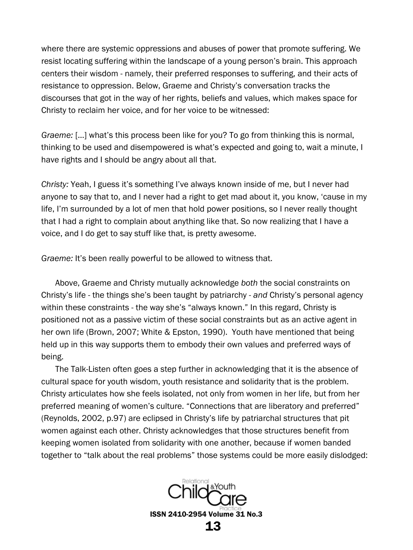where there are systemic oppressions and abuses of power that promote suffering. We resist locating suffering within the landscape of a young person's brain. This approach centers their wisdom - namely, their preferred responses to suffering, and their acts of resistance to oppression. Below, Graeme and Christy's conversation tracks the discourses that got in the way of her rights, beliefs and values, which makes space for Christy to reclaim her voice, and for her voice to be witnessed:

*Graeme:* […] what's this process been like for you? To go from thinking this is normal, thinking to be used and disempowered is what's expected and going to, wait a minute, I have rights and I should be angry about all that.

*Christy:* Yeah, I guess it's something I've always known inside of me, but I never had anyone to say that to, and I never had a right to get mad about it, you know, 'cause in my life, I'm surrounded by a lot of men that hold power positions, so I never really thought that I had a right to complain about anything like that. So now realizing that I have a voice, and I do get to say stuff like that, is pretty awesome.

*Graeme:* It's been really powerful to be allowed to witness that.

Above, Graeme and Christy mutually acknowledge *both* the social constraints on Christy's life - the things she's been taught by patriarchy - *and* Christy's personal agency within these constraints - the way she's "always known." In this regard, Christy is positioned not as a passive victim of these social constraints but as an active agent in her own life (Brown, 2007; White & Epston, 1990). Youth have mentioned that being held up in this way supports them to embody their own values and preferred ways of being.

The Talk-Listen often goes a step further in acknowledging that it is the absence of cultural space for youth wisdom, youth resistance and solidarity that is the problem. Christy articulates how she feels isolated, not only from women in her life, but from her preferred meaning of women's culture. "Connections that are liberatory and preferred" (Reynolds, 2002, p.97) are eclipsed in Christy's life by patriarchal structures that pit women against each other. Christy acknowledges that those structures benefit from keeping women isolated from solidarity with one another, because if women banded together to "talk about the real problems" those systems could be more easily dislodged:

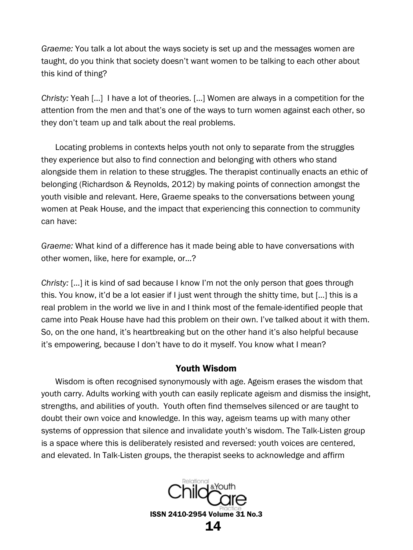*Graeme:* You talk a lot about the ways society is set up and the messages women are taught, do you think that society doesn't want women to be talking to each other about this kind of thing?

*Christy:* Yeah […] I have a lot of theories. […] Women are always in a competition for the attention from the men and that's one of the ways to turn women against each other, so they don't team up and talk about the real problems.

Locating problems in contexts helps youth not only to separate from the struggles they experience but also to find connection and belonging with others who stand alongside them in relation to these struggles. The therapist continually enacts an ethic of belonging (Richardson & Reynolds, 2012) by making points of connection amongst the youth visible and relevant. Here, Graeme speaks to the conversations between young women at Peak House, and the impact that experiencing this connection to community can have:

*Graeme:* What kind of a difference has it made being able to have conversations with other women, like, here for example, or…?

*Christy:* […] it is kind of sad because I know I'm not the only person that goes through this. You know, it'd be a lot easier if I just went through the shitty time, but […] this is a real problem in the world we live in and I think most of the female-identified people that came into Peak House have had this problem on their own. I've talked about it with them. So, on the one hand, it's heartbreaking but on the other hand it's also helpful because it's empowering, because I don't have to do it myself. You know what I mean?

#### Youth Wisdom

Wisdom is often recognised synonymously with age. Ageism erases the wisdom that youth carry. Adults working with youth can easily replicate ageism and dismiss the insight, strengths, and abilities of youth. Youth often find themselves silenced or are taught to doubt their own voice and knowledge. In this way, ageism teams up with many other systems of oppression that silence and invalidate youth's wisdom. The Talk-Listen group is a space where this is deliberately resisted and reversed: youth voices are centered, and elevated. In Talk-Listen groups, the therapist seeks to acknowledge and affirm

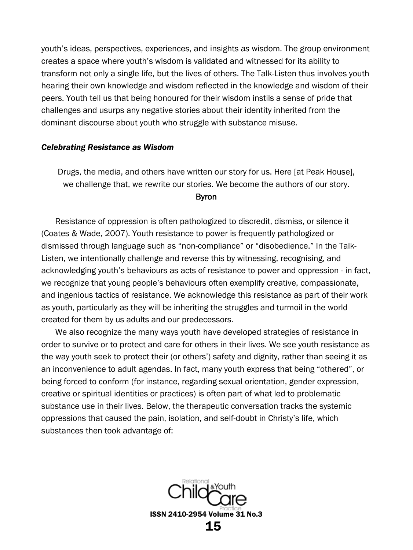youth's ideas, perspectives, experiences, and insights *as* wisdom. The group environment creates a space where youth's wisdom is validated and witnessed for its ability to transform not only a single life, but the lives of others. The Talk-Listen thus involves youth hearing their own knowledge and wisdom reflected in the knowledge and wisdom of their peers. Youth tell us that being honoured for their wisdom instils a sense of pride that challenges and usurps any negative stories about their identity inherited from the dominant discourse about youth who struggle with substance misuse.

#### *Celebrating Resistance as Wisdom*

Drugs, the media, and others have written our story for us. Here [at Peak House], we challenge that, we rewrite our stories. We become the authors of our story.

#### Byron

Resistance of oppression is often pathologized to discredit, dismiss, or silence it (Coates & Wade, 2007). Youth resistance to power is frequently pathologized or dismissed through language such as "non-compliance" or "disobedience." In the Talk-Listen, we intentionally challenge and reverse this by witnessing, recognising, and acknowledging youth's behaviours as acts of resistance to power and oppression - in fact, we recognize that young people's behaviours often exemplify creative, compassionate, and ingenious tactics of resistance. We acknowledge this resistance as part of their work as youth, particularly as they will be inheriting the struggles and turmoil in the world created for them by us adults and our predecessors.

We also recognize the many ways youth have developed strategies of resistance in order to survive or to protect and care for others in their lives. We see youth resistance as the way youth seek to protect their (or others') safety and dignity, rather than seeing it as an inconvenience to adult agendas. In fact, many youth express that being "othered", or being forced to conform (for instance, regarding sexual orientation, gender expression, creative or spiritual identities or practices) is often part of what led to problematic substance use in their lives. Below, the therapeutic conversation tracks the systemic oppressions that caused the pain, isolation, and self-doubt in Christy's life, which substances then took advantage of:

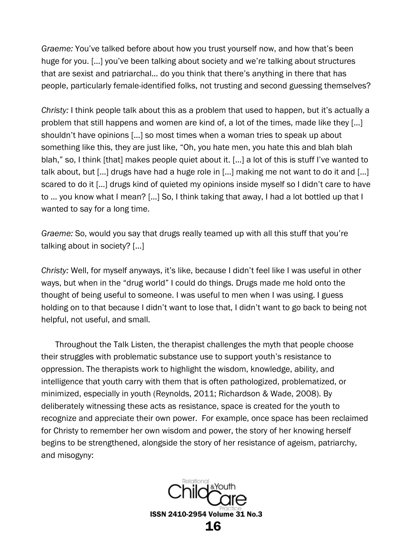*Graeme:* You've talked before about how you trust yourself now, and how that's been huge for you. […] you've been talking about society and we're talking about structures that are sexist and patriarchal… do you think that there's anything in there that has people, particularly female-identified folks, not trusting and second guessing themselves?

*Christy:* I think people talk about this as a problem that used to happen, but it's actually a problem that still happens and women are kind of, a lot of the times, made like they […] shouldn't have opinions […] so most times when a woman tries to speak up about something like this, they are just like, "Oh, you hate men, you hate this and blah blah blah," so, I think [that] makes people quiet about it. […] a lot of this is stuff I've wanted to talk about, but […] drugs have had a huge role in […] making me not want to do it and […] scared to do it [...] drugs kind of quieted my opinions inside myself so I didn't care to have to … you know what I mean? […] So, I think taking that away, I had a lot bottled up that I wanted to say for a long time.

*Graeme:* So, would you say that drugs really teamed up with all this stuff that you're talking about in society? […]

*Christy:* Well, for myself anyways, it's like, because I didn't feel like I was useful in other ways, but when in the "drug world" I could do things. Drugs made me hold onto the thought of being useful to someone. I was useful to men when I was using. I guess holding on to that because I didn't want to lose that, I didn't want to go back to being not helpful, not useful, and small.

Throughout the Talk Listen, the therapist challenges the myth that people choose their struggles with problematic substance use to support youth's resistance to oppression. The therapists work to highlight the wisdom, knowledge, ability, and intelligence that youth carry with them that is often pathologized, problematized, or minimized, especially in youth (Reynolds, 2011; Richardson & Wade, 2008). By deliberately witnessing these acts as resistance, space is created for the youth to recognize and appreciate their own power. For example, once space has been reclaimed for Christy to remember her own wisdom and power, the story of her knowing herself begins to be strengthened, alongside the story of her resistance of ageism, patriarchy, and misogyny:

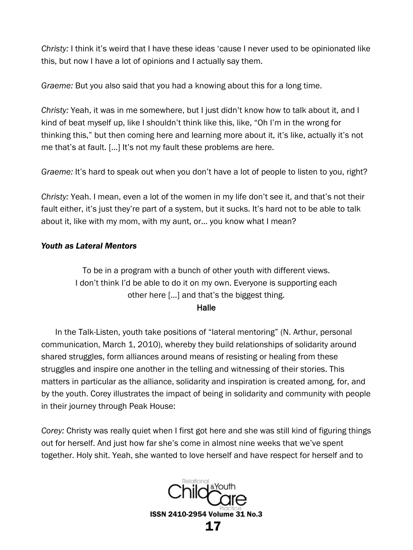*Christy:* I think it's weird that I have these ideas 'cause I never used to be opinionated like this, but now I have a lot of opinions and I actually say them.

*Graeme:* But you also said that you had a knowing about this for a long time.

*Christy:* Yeah, it was in me somewhere, but I just didn't know how to talk about it, and I kind of beat myself up, like I shouldn't think like this, like, "Oh I'm in the wrong for thinking this," but then coming here and learning more about it, it's like, actually it's not me that's at fault. […] It's not my fault these problems are here.

*Graeme:* It's hard to speak out when you don't have a lot of people to listen to you, right?

*Christy:* Yeah. I mean, even a lot of the women in my life don't see it, and that's not their fault either, it's just they're part of a system, but it sucks. It's hard not to be able to talk about it, like with my mom, with my aunt, or… you know what I mean?

## *Youth as Lateral Mentors*

To be in a program with a bunch of other youth with different views. I don't think I'd be able to do it on my own. Everyone is supporting each other here […] and that's the biggest thing.

#### Halle

In the Talk-Listen, youth take positions of "lateral mentoring" (N. Arthur, personal communication, March 1, 2010), whereby they build relationships of solidarity around shared struggles, form alliances around means of resisting or healing from these struggles and inspire one another in the telling and witnessing of their stories. This matters in particular as the alliance, solidarity and inspiration is created among, for, and by the youth. Corey illustrates the impact of being in solidarity and community with people in their journey through Peak House:

*Corey:* Christy was really quiet when I first got here and she was still kind of figuring things out for herself. And just how far she's come in almost nine weeks that we've spent together. Holy shit. Yeah, she wanted to love herself and have respect for herself and to

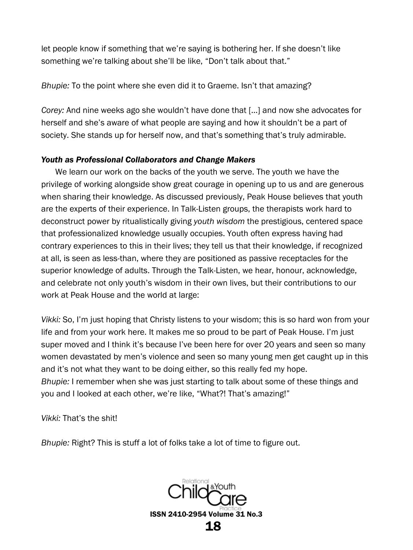let people know if something that we're saying is bothering her. If she doesn't like something we're talking about she'll be like, "Don't talk about that."

*Bhupie:* To the point where she even did it to Graeme. Isn't that amazing?

*Corey:* And nine weeks ago she wouldn't have done that […] and now she advocates for herself and she's aware of what people are saying and how it shouldn't be a part of society. She stands up for herself now, and that's something that's truly admirable.

#### *Youth as Professional Collaborators and Change Makers*

We learn our work on the backs of the youth we serve. The youth we have the privilege of working alongside show great courage in opening up to us and are generous when sharing their knowledge. As discussed previously, Peak House believes that youth are the experts of their experience. In Talk-Listen groups, the therapists work hard to deconstruct power by ritualistically giving *youth wisdom* the prestigious, centered space that professionalized knowledge usually occupies. Youth often express having had contrary experiences to this in their lives; they tell us that their knowledge, if recognized at all, is seen as less-than, where they are positioned as passive receptacles for the superior knowledge of adults. Through the Talk-Listen, we hear, honour, acknowledge, and celebrate not only youth's wisdom in their own lives, but their contributions to our work at Peak House and the world at large:

*Vikki:* So, I'm just hoping that Christy listens to your wisdom; this is so hard won from your life and from your work here. It makes me so proud to be part of Peak House. I'm just super moved and I think it's because I've been here for over 20 years and seen so many women devastated by men's violence and seen so many young men get caught up in this and it's not what they want to be doing either, so this really fed my hope. *Bhupie:* I remember when she was just starting to talk about some of these things and you and I looked at each other, we're like, "What?! That's amazing!"

*Vikki:* That's the shit!

*Bhupie:* Right? This is stuff a lot of folks take a lot of time to figure out.

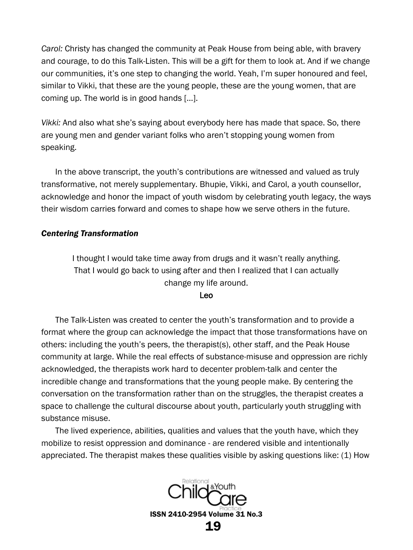*Carol:* Christy has changed the community at Peak House from being able, with bravery and courage, to do this Talk-Listen. This will be a gift for them to look at. And if we change our communities, it's one step to changing the world. Yeah, I'm super honoured and feel, similar to Vikki, that these are the young people, these are the young women, that are coming up. The world is in good hands […].

*Vikki:* And also what she's saying about everybody here has made that space. So, there are young men and gender variant folks who aren't stopping young women from speaking.

In the above transcript, the youth's contributions are witnessed and valued as truly transformative, not merely supplementary. Bhupie, Vikki, and Carol, a youth counsellor, acknowledge and honor the impact of youth wisdom by celebrating youth legacy, the ways their wisdom carries forward and comes to shape how we serve others in the future.

#### *Centering Transformation*

I thought I would take time away from drugs and it wasn't really anything. That I would go back to using after and then I realized that I can actually change my life around.

#### Leo

The Talk-Listen was created to center the youth's transformation and to provide a format where the group can acknowledge the impact that those transformations have on others: including the youth's peers, the therapist(s), other staff, and the Peak House community at large. While the real effects of substance-misuse and oppression are richly acknowledged, the therapists work hard to decenter problem-talk and center the incredible change and transformations that the young people make. By centering the conversation on the transformation rather than on the struggles, the therapist creates a space to challenge the cultural discourse about youth, particularly youth struggling with substance misuse.

The lived experience, abilities, qualities and values that the youth have, which they mobilize to resist oppression and dominance - are rendered visible and intentionally appreciated. The therapist makes these qualities visible by asking questions like: (1) How

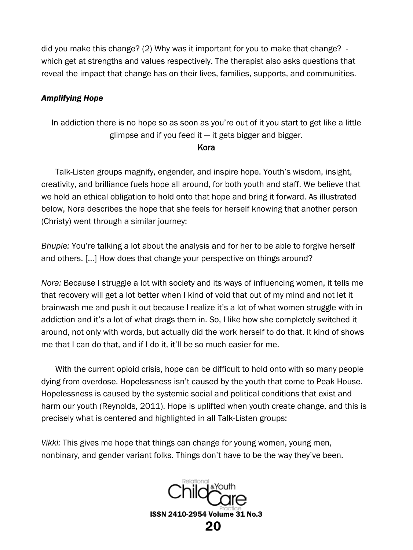did you make this change? (2) Why was it important for you to make that change? which get at strengths and values respectively. The therapist also asks questions that reveal the impact that change has on their lives, families, supports, and communities.

#### *Amplifying Hope*

In addiction there is no hope so as soon as you're out of it you start to get like a little glimpse and if you feed it  $-$  it gets bigger and bigger.

#### Kora

Talk-Listen groups magnify, engender, and inspire hope. Youth's wisdom, insight, creativity, and brilliance fuels hope all around, for both youth and staff. We believe that we hold an ethical obligation to hold onto that hope and bring it forward. As illustrated below, Nora describes the hope that she feels for herself knowing that another person (Christy) went through a similar journey:

*Bhupie:* You're talking a lot about the analysis and for her to be able to forgive herself and others. […] How does that change your perspective on things around?

*Nora:* Because I struggle a lot with society and its ways of influencing women, it tells me that recovery will get a lot better when I kind of void that out of my mind and not let it brainwash me and push it out because I realize it's a lot of what women struggle with in addiction and it's a lot of what drags them in. So, I like how she completely switched it around, not only with words, but actually did the work herself to do that. It kind of shows me that I can do that, and if I do it, it'll be so much easier for me.

With the current opioid crisis, hope can be difficult to hold onto with so many people dying from overdose. Hopelessness isn't caused by the youth that come to Peak House. Hopelessness is caused by the systemic social and political conditions that exist and harm our youth (Reynolds, 2011). Hope is uplifted when youth create change, and this is precisely what is centered and highlighted in all Talk-Listen groups:

*Vikki:* This gives me hope that things can change for young women, young men, nonbinary, and gender variant folks. Things don't have to be the way they've been.

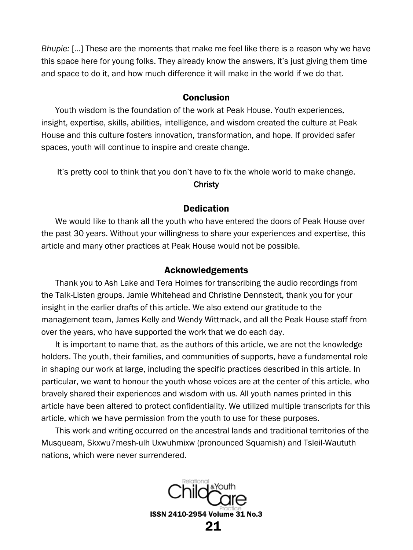*Bhupie:* […] These are the moments that make me feel like there is a reason why we have this space here for young folks. They already know the answers, it's just giving them time and space to do it, and how much difference it will make in the world if we do that.

#### Conclusion

Youth wisdom is the foundation of the work at Peak House. Youth experiences, insight, expertise, skills, abilities, intelligence, and wisdom created the culture at Peak House and this culture fosters innovation, transformation, and hope. If provided safer spaces, youth will continue to inspire and create change.

It's pretty cool to think that you don't have to fix the whole world to make change.

#### Christy

# **Dedication**

We would like to thank all the youth who have entered the doors of Peak House over the past 30 years. Without your willingness to share your experiences and expertise, this article and many other practices at Peak House would not be possible.

#### Acknowledgements

Thank you to Ash Lake and Tera Holmes for transcribing the audio recordings from the Talk-Listen groups. Jamie Whitehead and Christine Dennstedt, thank you for your insight in the earlier drafts of this article. We also extend our gratitude to the management team, James Kelly and Wendy Wittmack, and all the Peak House staff from over the years, who have supported the work that we do each day.

It is important to name that, as the authors of this article, we are not the knowledge holders. The youth, their families, and communities of supports, have a fundamental role in shaping our work at large, including the specific practices described in this article. In particular, we want to honour the youth whose voices are at the center of this article, who bravely shared their experiences and wisdom with us. All youth names printed in this article have been altered to protect confidentiality. We utilized multiple transcripts for this article, which we have permission from the youth to use for these purposes.

This work and writing occurred on the ancestral lands and traditional territories of the Musqueam, Skxwu7mesh-ulh Uxwuhmixw (pronounced Squamish) and Tsleil-Waututh nations, which were never surrendered.

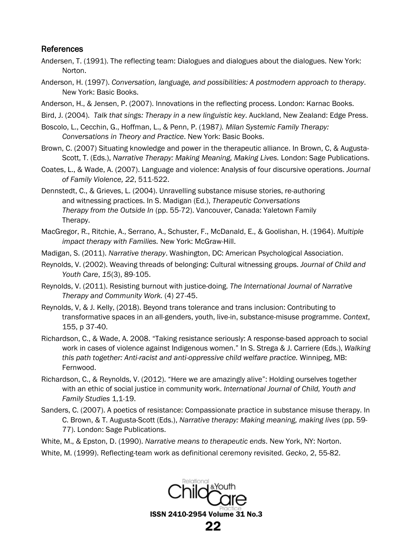#### References

- Andersen, T. (1991). The reflecting team: Dialogues and dialogues about the dialogues. New York: Norton.
- Anderson, H. (1997). *Conversation, language, and possibilities: A postmodern approach to therapy*. New York: Basic Books.
- Anderson, H., & Jensen, P. (2007). Innovations in the reflecting process. London: Karnac Books.
- Bird, J. (2004). *Talk that sings: Therapy in a new linguistic key*. Auckland, New Zealand: Edge Press.
- Boscolo, L., Cecchin, G., Hoffman, L., & Penn, P. (1987*). Milan Systemic Family Therapy: Conversations in Theory and Practice*. New York: Basic Books.
- Brown, C. (2007) Situating knowledge and power in the therapeutic alliance. In Brown, C, & Augusta-Scott, T. (Eds.), *Narrative Therapy: Making Meaning, Making Lives.* London: Sage Publications.
- Coates, L., & Wade, A. (2007). Language and violence: Analysis of four discursive operations. *Journal of Family Violence, 22*, 511-522.
- Dennstedt, C., & Grieves, L. (2004). Unravelling substance misuse stories, re-authoring and witnessing practices. In S. Madigan (Ed.), *Therapeutic Conversations Therapy from the Outside In* (pp. 55-72). Vancouver, Canada: Yaletown Family Therapy.
- MacGregor, R., Ritchie, A., Serrano, A., Schuster, F., McDanald, E., & Goolishan, H. (1964). *Multiple impact therapy with Families.* New York: McGraw-Hill.
- Madigan, S. (2011). *Narrative therapy*. Washington, DC: American Psychological Association.
- Reynolds, V. (2002). Weaving threads of belonging: Cultural witnessing groups. *Journal of Child and Youth Care*, *15*(3), 89-105.
- Reynolds, V. (2011). Resisting burnout with justice-doing. *The International Journal of Narrative Therapy and Community Work.* (4) 27-45.
- Reynolds, V, & J. Kelly, (2018). Beyond trans tolerance and trans inclusion: Contributing to transformative spaces in an all-genders, youth, live-in, substance-misuse programme. *Context*, 155, p 37-40.
- Richardson, C., & Wade, A. 2008. "Taking resistance seriously: A response-based approach to social work in cases of violence against Indigenous women." In S. Strega & J. Carriere (Eds.), *Walking this path together: Anti-racist and anti-oppressive child welfare practice.* Winnipeg, MB: Fernwood.
- Richardson, C., & Reynolds, V. (2012). "Here we are amazingly alive": Holding ourselves together with an ethic of social justice in community work. *International Journal of Child, Youth and Family Studies* 1,1-19.
- Sanders, C. (2007). A poetics of resistance: Compassionate practice in substance misuse therapy. In C. Brown, & T. Augusta-Scott (Eds.), *Narrative therapy: Making meaning, making lives* (pp. 59- 77). London: Sage Publications.
- White, M., & Epston, D. (1990). *Narrative means to therapeutic ends*. New York, NY: Norton.
- White, M. (1999). Reflecting-team work as definitional ceremony revisited. *Gecko*, 2, 55-82.

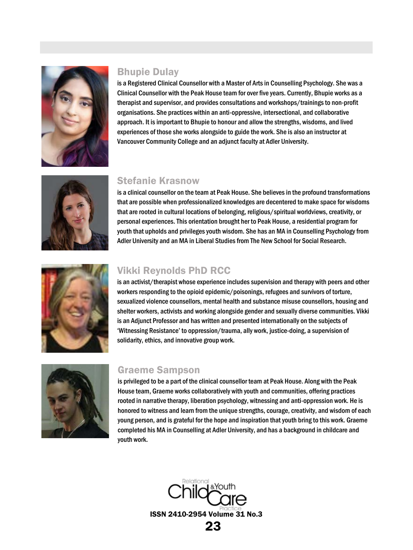

#### Bhupie Dulay

is a Registered Clinical Counsellor with a Master of Arts in Counselling Psychology. She was a Clinical Counsellor with the Peak House team for over five years. Currently, Bhupie works as a therapist and supervisor, and provides consultations and workshops/trainings to non-profit organisations. She practices within an anti-oppressive, intersectional, and collaborative approach. It is important to Bhupie to honour and allow the strengths, wisdoms, and lived experiences of those she works alongside to guide the work. She is also an instructor at Vancouver Community College and an adjunct faculty at Adler University.



# Stefanie Krasnow

is a clinical counsellor on the team at Peak House. She believes in the profound transformations that are possible when professionalized knowledges are decentered to make space for wisdoms that are rooted in cultural locations of belonging, religious/spiritual worldviews, creativity, or personal experiences. This orientation brought her to Peak House, a residential program for youth that upholds and privileges youth wisdom. She has an MA in Counselling Psychology from Adler University and an MA in Liberal Studies from The New School for Social Research.



#### Vikki Reynolds PhD RCC

is an activist/therapist whose experience includes supervision and therapy with peers and other workers responding to the opioid epidemic/poisonings, refugees and survivors of torture, sexualized violence counsellors, mental health and substance misuse counsellors, housing and shelter workers, activists and working alongside gender and sexually diverse communities. Vikki is an Adjunct Professor and has written and presented internationally on the subjects of 'Witnessing Resistance' to oppression/trauma, ally work, justice-doing, a supervision of solidarity, ethics, and innovative group work.



#### Graeme Sampson

is privileged to be a part of the clinical counsellor team at Peak House. Along with the Peak House team, Graeme works collaboratively with youth and communities, offering practices rooted in narrative therapy, liberation psychology, witnessing and anti-oppression work. He is honored to witness and learn from the unique strengths, courage, creativity, and wisdom of each young person, and is grateful for the hope and inspiration that youth bring to this work. Graeme completed his MA in Counselling at Adler University, and has a background in childcare and youth work.

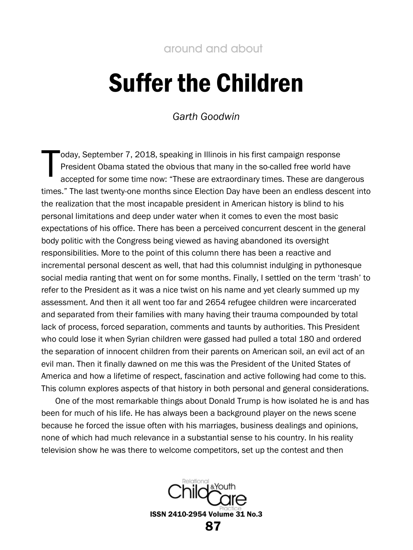# <span id="page-24-0"></span>Suffer the Children

*Garth Goodwin*

<span id="page-24-1"></span>oday, September 7, 2018, speaking in Illinois in his first campaign response President Obama stated the obvious that many in the so-called free world have accepted for some time now: "These are extraordinary times. These are dangerous times." The last twenty-one months since Election Day have been an endless descent into the realization that the most incapable president in American history is blind to his personal limitations and deep under water when it comes to even the most basic expectations of his office. There has been a perceived concurrent descent in the general body politic with the Congress being viewed as having abandoned its oversight responsibilities. More to the point of this column there has been a reactive and incremental personal descent as well, that had this columnist indulging in pythonesque social media ranting that went on for some months. Finally, I settled on the term 'trash' to refer to the President as it was a nice twist on his name and yet clearly summed up my assessment. And then it all went too far and 2654 refugee children were incarcerated and separated from their families with many having their trauma compounded by total lack of process, forced separation, comments and taunts by authorities. This President who could lose it when Syrian children were gassed had pulled a total 180 and ordered the separation of innocent children from their parents on American soil, an evil act of an evil man. Then it finally dawned on me this was the President of the United States of America and how a lifetime of respect, fascination and active following had come to this. This column explores aspects of that history in both personal and general considerations. T

One of the most remarkable things about Donald Trump is how isolated he is and has been for much of his life. He has always been a background player on the news scene because he forced the issue often with his marriages, business dealings and opinions, none of which had much relevance in a substantial sense to his country. In his reality television show he was there to welcome competitors, set up the contest and then

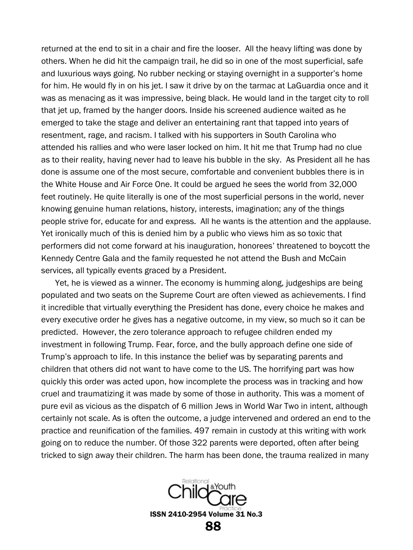returned at the end to sit in a chair and fire the looser. All the heavy lifting was done by others. When he did hit the campaign trail, he did so in one of the most superficial, safe and luxurious ways going. No rubber necking or staying overnight in a supporter's home for him. He would fly in on his jet. I saw it drive by on the tarmac at LaGuardia once and it was as menacing as it was impressive, being black. He would land in the target city to roll that jet up, framed by the hanger doors. Inside his screened audience waited as he emerged to take the stage and deliver an entertaining rant that tapped into years of resentment, rage, and racism. I talked with his supporters in South Carolina who attended his rallies and who were laser locked on him. It hit me that Trump had no clue as to their reality, having never had to leave his bubble in the sky. As President all he has done is assume one of the most secure, comfortable and convenient bubbles there is in the White House and Air Force One. It could be argued he sees the world from 32,000 feet routinely. He quite literally is one of the most superficial persons in the world, never knowing genuine human relations, history, interests, imagination; any of the things people strive for, educate for and express. All he wants is the attention and the applause. Yet ironically much of this is denied him by a public who views him as so toxic that performers did not come forward at his inauguration, honorees' threatened to boycott the Kennedy Centre Gala and the family requested he not attend the Bush and McCain services, all typically events graced by a President.

Yet, he is viewed as a winner. The economy is humming along, judgeships are being populated and two seats on the Supreme Court are often viewed as achievements. I find it incredible that virtually everything the President has done, every choice he makes and every executive order he gives has a negative outcome, in my view, so much so it can be predicted. However, the zero tolerance approach to refugee children ended my investment in following Trump. Fear, force, and the bully approach define one side of Trump's approach to life. In this instance the belief was by separating parents and children that others did not want to have come to the US. The horrifying part was how quickly this order was acted upon, how incomplete the process was in tracking and how cruel and traumatizing it was made by some of those in authority. This was a moment of pure evil as vicious as the dispatch of 6 million Jews in World War Two in intent, although certainly not scale. As is often the outcome, a judge intervened and ordered an end to the practice and reunification of the families. 497 remain in custody at this writing with work going on to reduce the number. Of those 322 parents were deported, often after being tricked to sign away their children. The harm has been done, the trauma realized in many

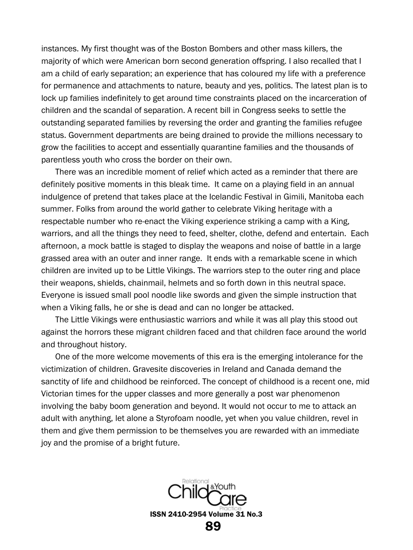instances. My first thought was of the Boston Bombers and other mass killers, the majority of which were American born second generation offspring. I also recalled that I am a child of early separation; an experience that has coloured my life with a preference for permanence and attachments to nature, beauty and yes, politics. The latest plan is to lock up families indefinitely to get around time constraints placed on the incarceration of children and the scandal of separation. A recent bill in Congress seeks to settle the outstanding separated families by reversing the order and granting the families refugee status. Government departments are being drained to provide the millions necessary to grow the facilities to accept and essentially quarantine families and the thousands of parentless youth who cross the border on their own.

There was an incredible moment of relief which acted as a reminder that there are definitely positive moments in this bleak time. It came on a playing field in an annual indulgence of pretend that takes place at the Icelandic Festival in Gimili, Manitoba each summer. Folks from around the world gather to celebrate Viking heritage with a respectable number who re-enact the Viking experience striking a camp with a King, warriors, and all the things they need to feed, shelter, clothe, defend and entertain. Each afternoon, a mock battle is staged to display the weapons and noise of battle in a large grassed area with an outer and inner range. It ends with a remarkable scene in which children are invited up to be Little Vikings. The warriors step to the outer ring and place their weapons, shields, chainmail, helmets and so forth down in this neutral space. Everyone is issued small pool noodle like swords and given the simple instruction that when a Viking falls, he or she is dead and can no longer be attacked.

The Little Vikings were enthusiastic warriors and while it was all play this stood out against the horrors these migrant children faced and that children face around the world and throughout history.

One of the more welcome movements of this era is the emerging intolerance for the victimization of children. Gravesite discoveries in Ireland and Canada demand the sanctity of life and childhood be reinforced. The concept of childhood is a recent one, mid Victorian times for the upper classes and more generally a post war phenomenon involving the baby boom generation and beyond. It would not occur to me to attack an adult with anything, let alone a Styrofoam noodle, yet when you value children, revel in them and give them permission to be themselves you are rewarded with an immediate joy and the promise of a bright future.

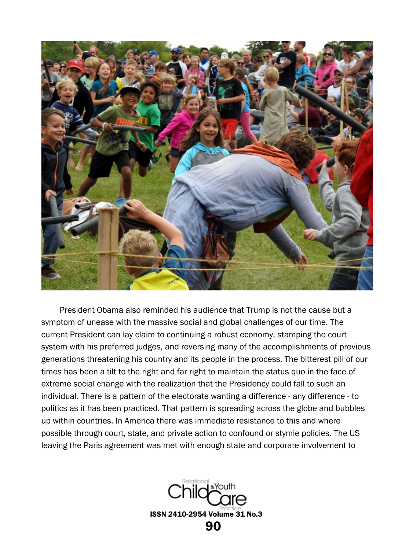

 President Obama also reminded his audience that Trump is not the cause but a symptom of unease with the massive social and global challenges of our time. The current President can lay claim to continuing a robust economy, stamping the court system with his preferred judges, and reversing many of the accomplishments of previous generations threatening his country and its people in the process. The bitterest pill of our times has been a tilt to the right and far right to maintain the status quo in the face of extreme social change with the realization that the Presidency could fall to such an individual. There is a pattern of the electorate wanting a difference - any difference - to politics as it has been practiced. That pattern is spreading across the globe and bubbles up within countries. In America there was immediate resistance to this and where possible through court, state, and private action to confound or stymie policies. The US leaving the Paris agreement was met with enough state and corporate involvement to

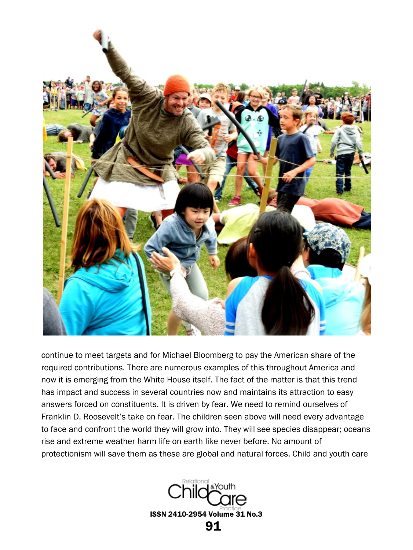

continue to meet targets and for Michael Bloomberg to pay the American share of the required contributions. There are numerous examples of this throughout America and now it is emerging from the White House itself. The fact of the matter is that this trend has impact and success in several countries now and maintains its attraction to easy answers forced on constituents. It is driven by fear. We need to remind ourselves of Franklin D. Roosevelt's take on fear. The children seen above will need every advantage to face and confront the world they will grow into. They will see species disappear; oceans rise and extreme weather harm life on earth like never before. No amount of protectionism will save them as these are global and natural forces. Child and youth care

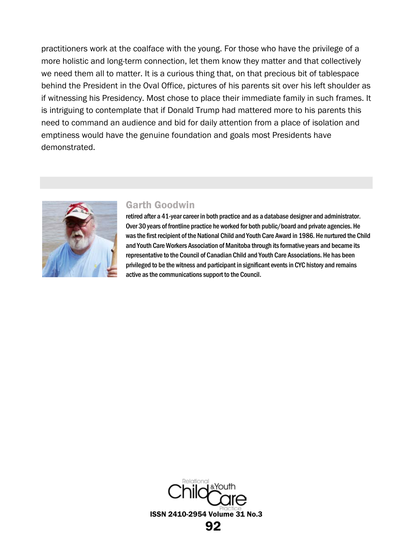practitioners work at the coalface with the young. For those who have the privilege of a more holistic and long-term connection, let them know they matter and that collectively we need them all to matter. It is a curious thing that, on that precious bit of tablespace behind the President in the Oval Office, pictures of his parents sit over his left shoulder as if witnessing his Presidency. Most chose to place their immediate family in such frames. It is intriguing to contemplate that if Donald Trump had mattered more to his parents this need to command an audience and bid for daily attention from a place of isolation and emptiness would have the genuine foundation and goals most Presidents have demonstrated.



#### Garth Goodwin

retired after a 41-year career in both practice and as a database designer and administrator. Over 30 years of frontline practice he worked for both public/board and private agencies. He was the first recipient of the National Child and Youth Care Award in 1986. He nurtured the Child and Youth Care Workers Association of Manitoba through its formative years and became its representative to the Council of Canadian Child and Youth Care Associations. He has been privileged to be the witness and participant in significant events in CYC history and remains active as the communications support to the Council.

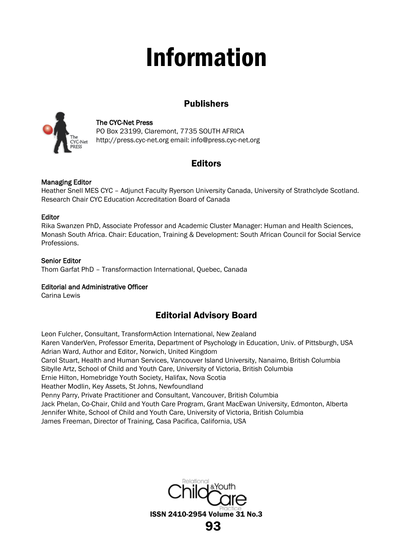# Information

# Publishers

<span id="page-30-0"></span>

#### The CYC-Net Press

PO Box 23199, Claremont, 7735 SOUTH AFRICA [http://press.cyc-net.org](http://press.cyc-net.org/) email[: info@press.cyc-net.org](mailto:info@press.cyc-net.org)

# Editors

#### Managing Editor

Heather Snell MES CYC – Adjunct Faculty Ryerson University Canada, University of Strathclyde Scotland. Research Chair CYC Education Accreditation Board of Canada

#### Editor

Rika Swanzen PhD, Associate Professor and Academic Cluster Manager: Human and Health Sciences, Monash South Africa. Chair: Education, Training & Development: South African Council for Social Service Professions.

#### Senior Editor

Thom Garfat PhD – Transformaction International, Quebec, Canada

#### Editorial and Administrative Officer

Carina Lewis

# Editorial Advisory Board

Leon Fulcher, Consultant, TransformAction International, New Zealand Karen VanderVen, Professor Emerita, Department of Psychology in Education, Univ. of Pittsburgh, USA Adrian Ward, Author and Editor, Norwich, United Kingdom Carol Stuart, Health and Human Services, Vancouver Island University, Nanaimo, British Columbia Sibylle Artz, School of Child and Youth Care, University of Victoria, British Columbia Ernie Hilton, Homebridge Youth Society, Halifax, Nova Scotia Heather Modlin, Key Assets, St Johns, Newfoundland Penny Parry, Private Practitioner and Consultant, Vancouver, British Columbia Jack Phelan, Co-Chair, Child and Youth Care Program, Grant MacEwan University, Edmonton, Alberta Jennifer White, School of Child and Youth Care, University of Victoria, British Columbia James Freeman, Director of Training, Casa Pacifica, California, USA

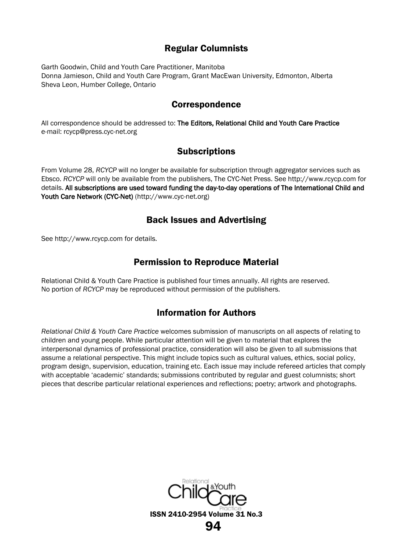# Regular Columnists

Garth Goodwin, Child and Youth Care Practitioner, Manitoba Donna Jamieson, Child and Youth Care Program, Grant MacEwan University, Edmonton, Alberta Sheva Leon, Humber College, Ontario

#### Correspondence

All correspondence should be addressed to: The Editors, Relational Child and Youth Care Practice e-mail[: rcycp@press.cyc-net.org](mailto:rcycp@press.cyc-net.org)

# Subscriptions

From Volume 28, *RCYCP* will no longer be available for subscription through aggregator services such as Ebsco. *RCYCP* will only be available from the publishers, The CYC-Net Press. See [http://www.rcycp.com](http://www.rcycp.com/) for details. All subscriptions are used toward funding the day-to-day operations of The International Child and Youth Care Network (CYC-Net) [\(http://www.cyc-net.org\)](http://www.cyc-net.org/) 

## Back Issues and Advertising

See [http://www.rcycp.com](http://www.rcycp.com/) for details.

# Permission to Reproduce Material

Relational Child & Youth Care Practice is published four times annually. All rights are reserved. No portion of *RCYCP* may be reproduced without permission of the publishers.

# Information for Authors

*Relational Child & Youth Care Practice* welcomes submission of manuscripts on all aspects of relating to children and young people. While particular attention will be given to material that explores the interpersonal dynamics of professional practice, consideration will also be given to all submissions that assume a relational perspective. This might include topics such as cultural values, ethics, social policy, program design, supervision, education, training etc. Each issue may include refereed articles that comply with acceptable 'academic' standards; submissions contributed by regular and guest columnists; short pieces that describe particular relational experiences and reflections; poetry; artwork and photographs.

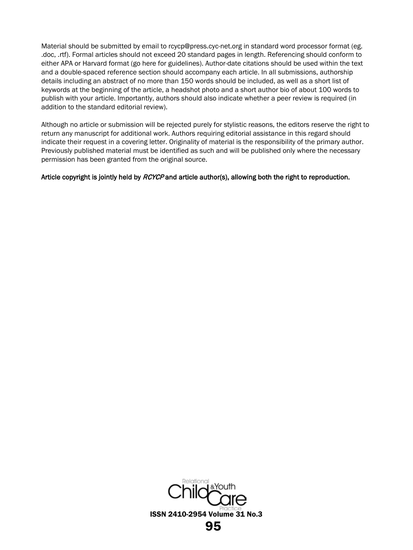Material should be submitted by email to [rcycp@press.cyc-net.org](mailto:rcycp@press.cyc-net.org) in standard word processor format (eg. .doc, .rtf). Formal articles should not exceed 20 standard pages in length. Referencing should conform to either APA or Harvard format (go [here](http://www.essay-writing-tips.com/formatting-styles/harvard-format.html) for guidelines). Author-date citations should be used within the text and a double-spaced reference section should accompany each article. In all submissions, authorship details including an abstract of no more than 150 words should be included, as well as a short list of keywords at the beginning of the article, a headshot photo and a short author bio of about 100 words to publish with your article. Importantly, authors should also indicate whether a peer review is required (in addition to the standard editorial review).

Although no article or submission will be rejected purely for stylistic reasons, the editors reserve the right to return any manuscript for additional work. Authors requiring editorial assistance in this regard should indicate their request in a covering letter. Originality of material is the responsibility of the primary author. Previously published material must be identified as such and will be published only where the necessary permission has been granted from the original source.

#### Article copyright is jointly held by RCYCP and article author(s), allowing both the right to reproduction.